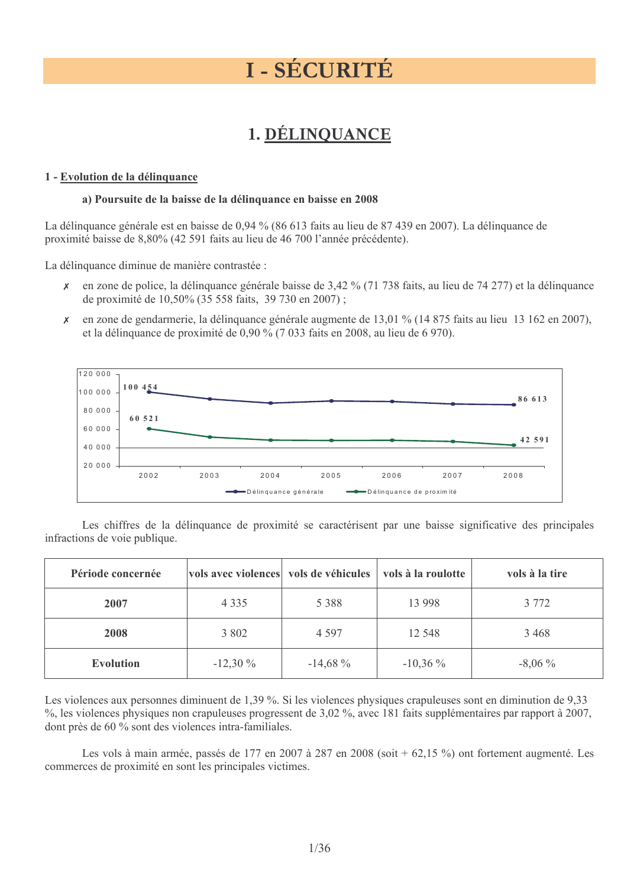# **I - SÉCURITÉ**

# 1. DÉLINQUANCE

#### 1 - Evolution de la délinquance

#### a) Poursuite de la baisse de la délinquance en baisse en 2008

La délinquance générale est en baisse de 0,94 % (86 613 faits au lieu de 87 439 en 2007). La délinquance de proximité baisse de 8,80% (42 591 faits au lieu de 46 700 l'année précédente).

La délinquance diminue de manière contrastée :

- en zone de police, la délinquance générale baisse de 3,42 % (71 738 faits, au lieu de 74 277) et la délinquance  $\boldsymbol{x}$ de proximité de 10,50% (35 558 faits, 39 730 en 2007);
- $\mathsf{x}$ en zone de gendarmerie, la délinquance générale augmente de 13,01 % (14 875 faits au lieu 13 162 en 2007), et la délinquance de proximité de 0,90 % (7 033 faits en 2008, au lieu de 6 970).



Les chiffres de la délinquance de proximité se caractérisent par une baisse significative des principales infractions de voie publique.

| Période concernée | vols avec violences vols de véhicules |           | vols à la roulotte | vols à la tire |
|-------------------|---------------------------------------|-----------|--------------------|----------------|
| 2007              | 4 3 3 5                               | 5 3 8 8   | 13 9 98            | 3 7 7 2        |
| 2008              | 3 802                                 | 4 5 9 7   | 12 5 48            | 3468           |
| <b>Evolution</b>  | $-12,30\%$                            | $-14,68%$ | $-10,36\%$         | $-8,06\%$      |

Les violences aux personnes diminuent de 1,39 %. Si les violences physiques crapuleuses sont en diminution de 9,33 %, les violences physiques non crapuleuses progressent de 3,02 %, avec 181 faits supplémentaires par rapport à 2007, dont près de 60 % sont des violences intra-familiales.

Les vols à main armée, passés de 177 en 2007 à 287 en 2008 (soit + 62,15 %) ont fortement augmenté. Les commerces de proximité en sont les principales victimes.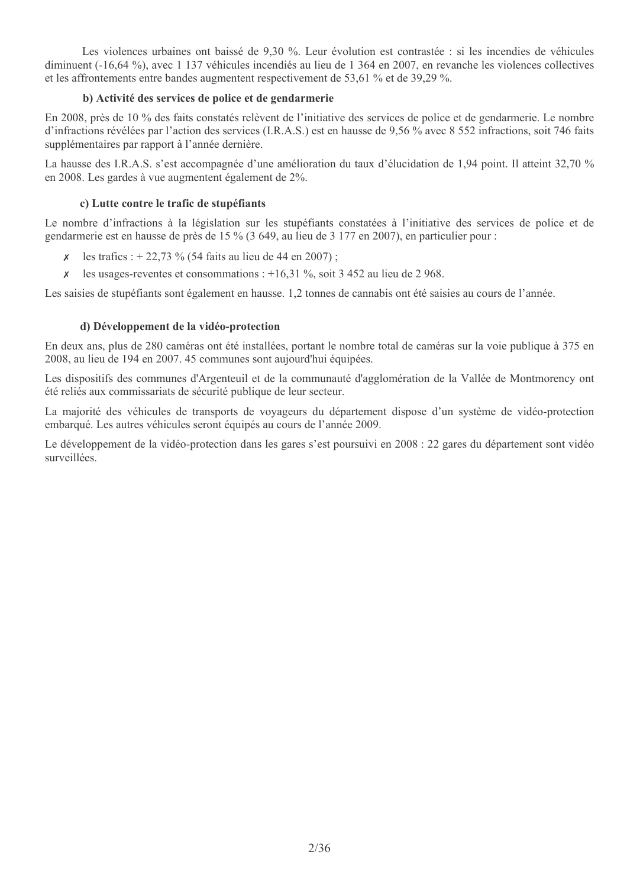Les violences urbaines ont baissé de 9,30 %. Leur évolution est contrastée : si les incendies de véhicules diminuent (-16.64 %), avec 1 137 véhicules incendiés au lieu de 1 364 en 2007, en revanche les violences collectives et les affrontements entre bandes augmentent respectivement de 53.61 % et de 39.29 %.

### b) Activité des services de police et de gendarmerie

En 2008, près de 10 % des faits constatés relèvent de l'initiative des services de police et de gendarmerie. Le nombre d'infractions révélées par l'action des services (I.R.A.S.) est en hausse de 9,56 % avec 8 552 infractions, soit 746 faits supplémentaires par rapport à l'année dernière.

La hausse des I.R.A.S. s'est accompagnée d'une amélioration du taux d'élucidation de 1,94 point. Il atteint 32,70 % en 2008. Les gardes à vue augment en également de 2%.

#### c) Lutte contre le trafic de stupéfiants

Le nombre d'infractions à la législation sur les stupéfiants constatées à l'initiative des services de police et de gendarmerie est en hausse de près de 15 % (3 649, au lieu de 3 177 en 2007), en particulier pour :

- les trafics :  $+ 22,73$  % (54 faits au lieu de 44 en 2007) ;
- $\chi$  les usages-reventes et consommations : +16,31 %, soit 3 452 au lieu de 2 968.

Les saisies de stupéfiants sont également en hausse. 1,2 tonnes de cannabis ont été saisies au cours de l'année.

#### d) Développement de la vidéo-protection

En deux ans, plus de 280 caméras ont été installées, portant le nombre total de caméras sur la voie publique à 375 en 2008, au lieu de 194 en 2007. 45 communes sont aujourd'hui équipées.

Les dispositifs des communes d'Argenteuil et de la communauté d'agglomération de la Vallée de Montmorency ont été reliés aux commissariats de sécurité publique de leur secteur.

La majorité des véhicules de transports de voyageurs du département dispose d'un système de vidéo-protection embarqué. Les autres véhicules seront équipés au cours de l'année 2009.

Le développement de la vidéo-protection dans les gares s'est poursuivi en 2008 : 22 gares du département sont vidéo surveillées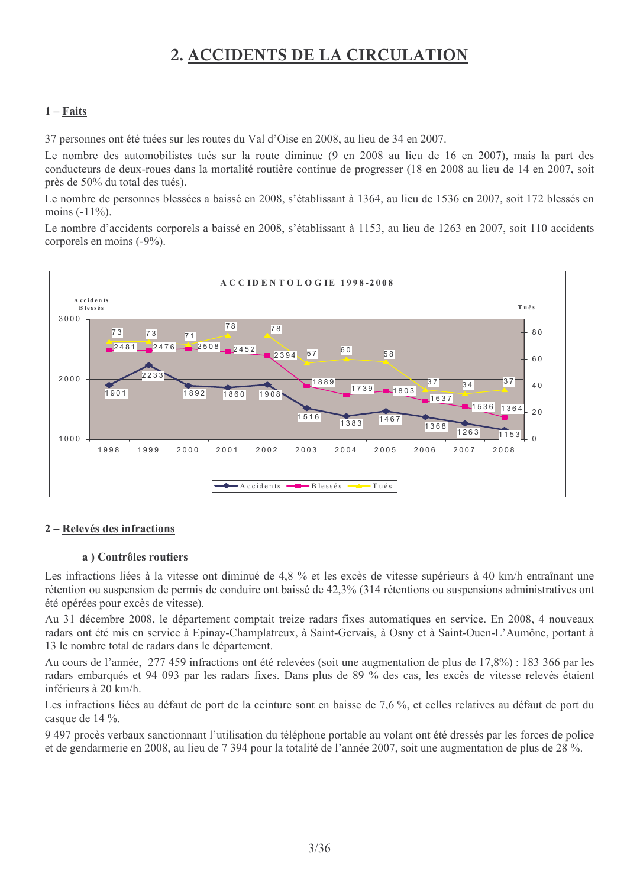# 2. ACCIDENTS DE LA CIRCULATION

# $1 - **F aits**$

37 personnes ont été tuées sur les routes du Val d'Oise en 2008, au lieu de 34 en 2007.

Le nombre des automobilistes tués sur la route diminue (9 en 2008 au lieu de 16 en 2007), mais la part des conducteurs de deux-roues dans la mortalité routière continue de progresser (18 en 2008 au lieu de 14 en 2007, soit près de 50% du total des tués).

Le nombre de personnes blessées a baissé en 2008, s'établissant à 1364, au lieu de 1536 en 2007, soit 172 blessés en moins  $(-11\%)$ .

Le nombre d'accidents corporels a baissé en 2008, s'établissant à 1153, au lieu de 1263 en 2007, soit 110 accidents corporels en moins (-9%).



#### 2 – Relevés des infractions

#### a) Contrôles routiers

Les infractions liées à la vitesse ont diminué de 4.8 % et les excès de vitesse supérieurs à 40 km/h entraînant une rétention ou suspension de permis de conduire ont baissé de 42,3% (314 rétentions ou suspensions administratives ont été opérées pour excès de vitesse).

Au 31 décembre 2008, le département comptait treize radars fixes automatiques en service. En 2008, 4 nouveaux radars ont été mis en service à Epinay-Champlatreux, à Saint-Gervais, à Osny et à Saint-Ouen-L'Aumône, portant à 13 le nombre total de radars dans le département.

Au cours de l'année, 277 459 infractions ont été relevées (soit une augmentation de plus de 17,8%) : 183 366 par les radars embarqués et 94 093 par les radars fixes. Dans plus de 89 % des cas, les excès de vitesse relevés étaient inférieurs à 20 km/h.

Les infractions liées au défaut de port de la ceinture sont en baisse de 7,6 %, et celles relatives au défaut de port du casque de 14 %.

9 497 procès verbaux sanctionnant l'utilisation du téléphone portable au volant ont été dressés par les forces de police et de gendarmerie en 2008, au lieu de 7 394 pour la totalité de l'année 2007, soit une augmentation de plus de 28 %.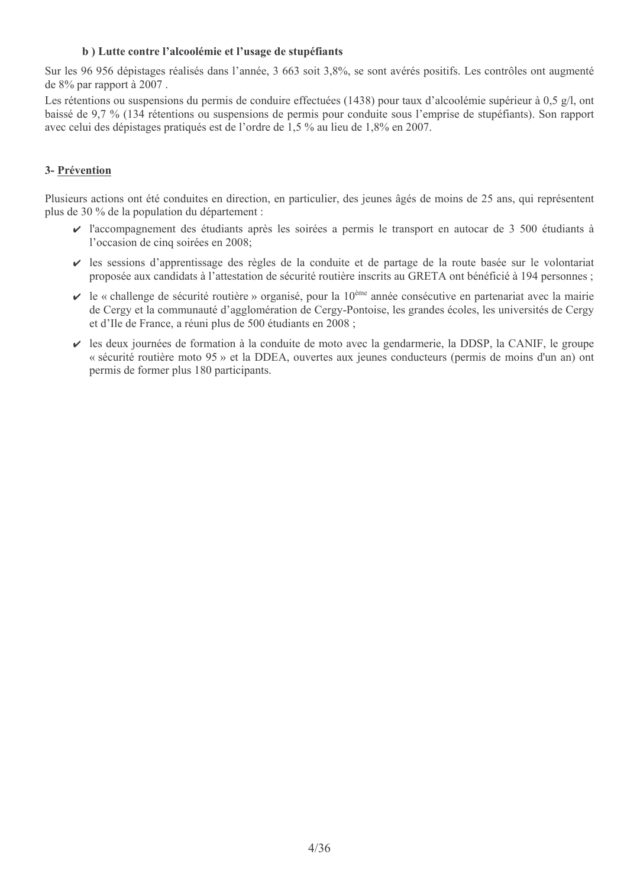### b) Lutte contre l'alcoolémie et l'usage de stupéfiants

Sur les 96 956 dépistages réalisés dans l'année, 3 663 soit 3,8%, se sont avérés positifs. Les contrôles ont augmenté de 8% par rapport à 2007.

Les rétentions ou suspensions du permis de conduire effectuées (1438) pour taux d'alcoolémie supérieur à 0,5 g/l, ont baissé de 9,7 % (134 rétentions ou suspensions de permis pour conduite sous l'emprise de stupéfiants). Son rapport avec celui des dépistages pratiqués est de l'ordre de 1,5 % au lieu de 1,8% en 2007.

### 3- Prévention

Plusieurs actions ont été conduites en direction, en particulier, des jeunes âgés de moins de 25 ans, qui représentent plus de 30 % de la population du département :

- I'accompagnement des étudiants après les soirées a permis le transport en autocar de 3 500 étudiants à l'occasion de cinq soirées en 2008;
- Il es sessions d'apprentissage des règles de la conduite et de partage de la route basée sur le volontariat proposée aux candidats à l'attestation de sécurité routière inscrits au GRETA ont bénéficié à 194 personnes;
- $\vee$  le « challenge de sécurité routière » organisé, pour la 10<sup>ème</sup> année consécutive en partenariat avec la mairie de Cergy et la communauté d'agglomération de Cergy-Pontoise, les grandes écoles, les universités de Cergy et d'Ile de France, a réuni plus de 500 étudiants en 2008 ;
- ► les deux journées de formation à la conduite de moto avec la gendarmerie, la DDSP, la CANIF, le groupe « sécurité routière moto 95 » et la DDEA, ouvertes aux jeunes conducteurs (permis de moins d'un an) ont permis de former plus 180 participants.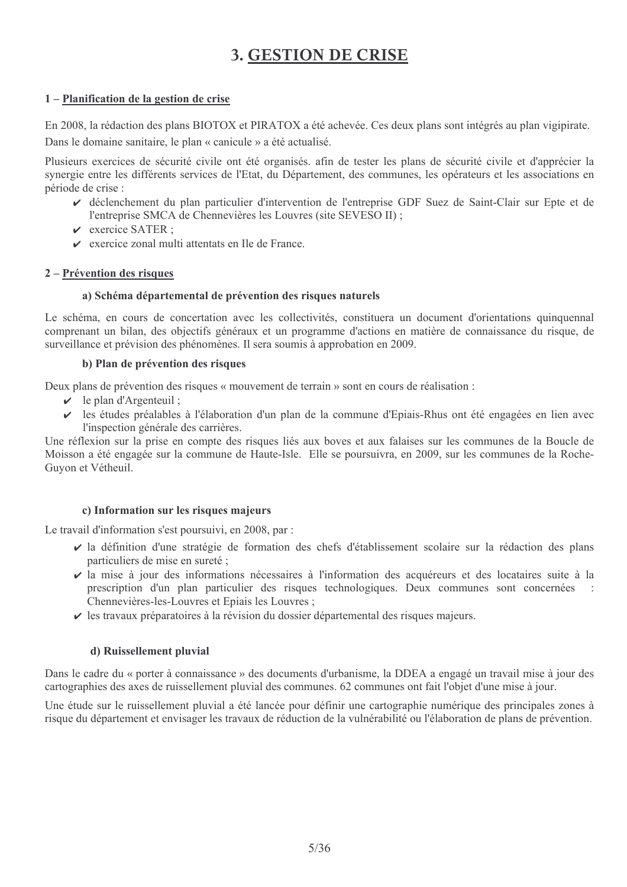# **3. GESTION DE CRISE**

# 1 – Planification de la gestion de crise

En 2008, la rédaction des plans BIOTOX et PIRATOX a été achevée. Ces deux plans sont intégrés au plan vigipirate.

Dans le domaine sanitaire, le plan « canicule » a été actualisé.

Plusieurs exercices de sécurité civile ont été organisés, afin de tester les plans de sécurité civile et d'apprécier la synergie entre les différents services de l'Etat, du Département, des communes, les opérateurs et les associations en période de crise :

- ↓ déclenchement du plan particulier d'intervention de l'entreprise GDF Suez de Saint-Clair sur Epte et de l'entreprise SMCA de Chennevières les Louvres (site SEVESO II);
- $\vee$  exercice SATER  $\cdot$
- $\triangleright$  exercice zonal multi attentats en Ile de France.

# 2 – Prévention des risques

# a) Schéma départemental de prévention des risques naturels

Le schéma, en cours de concertation avec les collectivités, constituera un document d'orientations quinquennal comprenant un bilan, des objectifs généraux et un programme d'actions en matière de connaissance du risque, de surveillance et prévision des phénomènes. Il sera soumis à approbation en 2009.

#### b) Plan de prévention des risques

Deux plans de prévention des risques « mouvement de terrain » sont en cours de réalisation :

- $\checkmark$  le plan d'Argenteuil;
- In the set estable de l'élaboration d'un plan de la commune d'Epiais-Rhus ont été engagées en lien avec l'inspection générale des carrières.

Une réflexion sur la prise en compte des risques liés aux boves et aux falaises sur les communes de la Boucle de Moisson a été engagée sur la commune de Haute-Isle. Elle se poursuivra, en 2009, sur les communes de la Roche-Guyon et Vétheuil.

# c) Information sur les risques majeurs

Le travail d'information s'est poursuivi, en 2008, par :

- Il définition d'une stratégie de formation des chefs d'établissement scolaire sur la rédaction des plans particuliers de mise en sureté ;
- Il a mise à jour des informations nécessaires à l'information des acquéreurs et des locataires suite à la prescription d'un plan particulier des risques technologiques. Deux communes sont concernées Chennevières-les-Louvres et Epiais les Louvres;
- In the set of the set of the set of the set of the set of the set of the set of the set of the set of the set of the set of the set of the set of the set of the set of the set of the set of the set of the set of the set of

# d) Ruissellement pluvial

Dans le cadre du « porter à connaissance » des documents d'urbanisme, la DDEA a engagé un travail mise à jour des cartographies des axes de ruissellement pluvial des communes. 62 communes ont fait l'objet d'une mise à jour.

Une étude sur le ruissellement pluvial a été lancée pour définir une cartographie numérique des principales zones à risque du département et envisager les travaux de réduction de la vulnérabilité ou l'élaboration de plans de prévention.